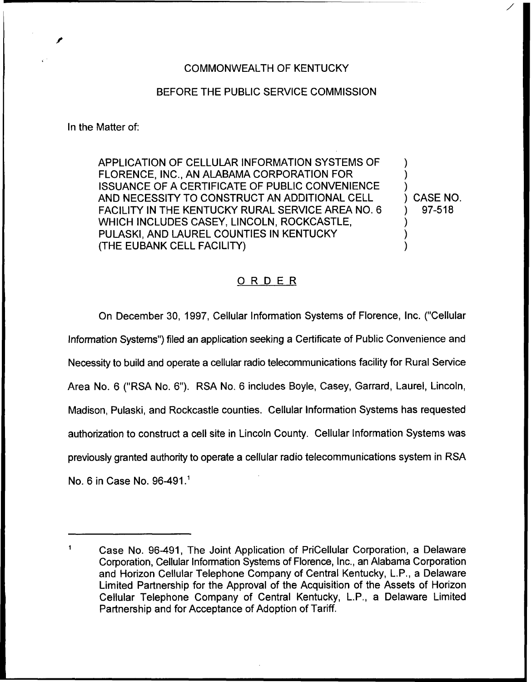### COMMONWEALTH OF KENTUCKY

### BEFORE THE PUBLIC SERVICE COMMISSION

#### In the Matter of:

APPLICATION OF CELLULAR INFORMATION SYSTEMS OF FLORENCE, INC., AN ALABAMA CORPORATION FOR ISSUANCE OF A CERTIFICATE OF PUBLIC CONVENIENCE AND NECESSITY TO CONSTRUCT AN ADDITIONAL CELL FACILITY IN THE KENTUCKY RURAL SERVICE AREA NO. 6 WHICH INCLUDES CASEY, LINCOLN, ROCKCASTLE, PULASKI, AND LAUREL COUNTIES IN KENTUCKY (THE EUBANK CELL FACILITY)

) CASE NO. ) 97-518

) ) )

) ) )

## ORDER

On December 30, 1997, Cellular Information Systems of Florence, Inc. ("Cellular Information Systems") filed an application seeking a Certificate of Public Convenience and Necessity to build and operate a cellular radio telecommunications facility for Rural Service Area No. 6 ("RSA No. 6"). RSA No. 6 includes Bayle, Casey, Garrard, Laurel, Lincoln, Madison, Pulaski, and Rockcastle counties. Cellular Information Systems has requested authorization to construct a cell site in Lincoln County. Cellular Information Systems was previously granted authority to operate a cellular radio telecommunications system in RSA No. 6 in Case No.

 $\mathbf{1}$ Case No. 96-491, The Joint Application of PriCellular Corporation, a Delaware Corporation, Cellular Information Systems of Florence, Inc., an Alabama Corporation and Horizon Cellular Telephone Company of Central Kentucky, L.P,, a Delaware Limited Partnership for the Approval of the Acquisition of the Assets of Horizon Cellular Telephone Company of Central Kentucky, L.P., a Delaware Limited Partnership and for Acceptance of Adoption of Tariff.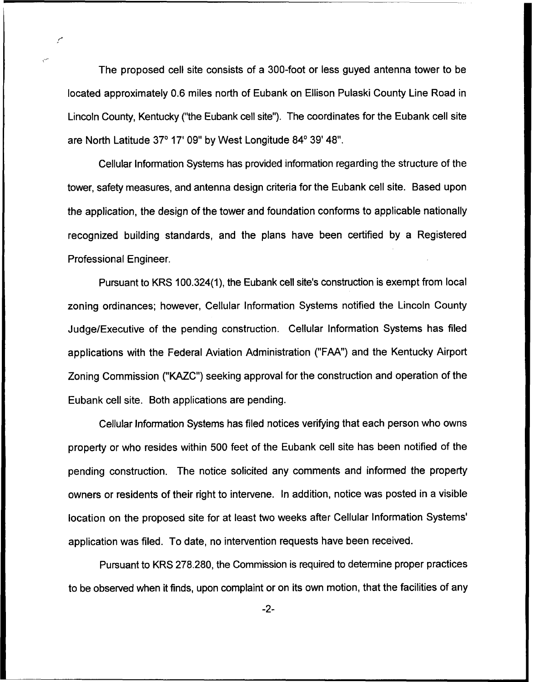The proposed cell site consists of a 300-foot or less guyed antenna tower to be located approximately 0.6 miles north of Eubank on Ellison Pulaski County Line Road in Lincoln County, Kentucky ("the Eubank cell site"). The coordinates for the Eubank cell site are North Latitude 37° 17' 09" by West Longitude 84° 39' 48".

Cellular Information Systems has provided information regarding the structure of the tower, safety measures, and antenna design criteria for the Eubank cell site. Based upon the application, the design of the tower and foundation conforms to applicable nationally recognized building standards, and the plans have been certified by a Registered Professional Engineer.

Pursuant to KRS 100.324(1), the Eubank cell site's construction is exempt from local zoning ordinances; however, Cellular Information Systems notified the Lincoln County Judge/Executive of the pending construction. Cellular Information Systems has filed applications with the Federal Aviation Administration ("FAA") and the Kentucky Airport Zoning Commission ("KAZC") seeking approval for the construction and operation of the Eubank cell site. Both applications are pending.

Cellular Information Systems has filed notices verifying that each person who owns property or who resides within 500 feet of the Eubank cell site has been notified of the pending construction. The notice solicited any comments and informed the property owners or residents of their right to intervene. In addition, notice was posted in a visible location on the proposed site for at least two weeks after Cellular Information Systems' application was filed. To date, no intervention requests have been received.

Pursuant to KRS 278.280, the Commission is required to determine proper practices to be observed when it finds, upon complaint or on its own motion, that the facilities of any

 $-2-$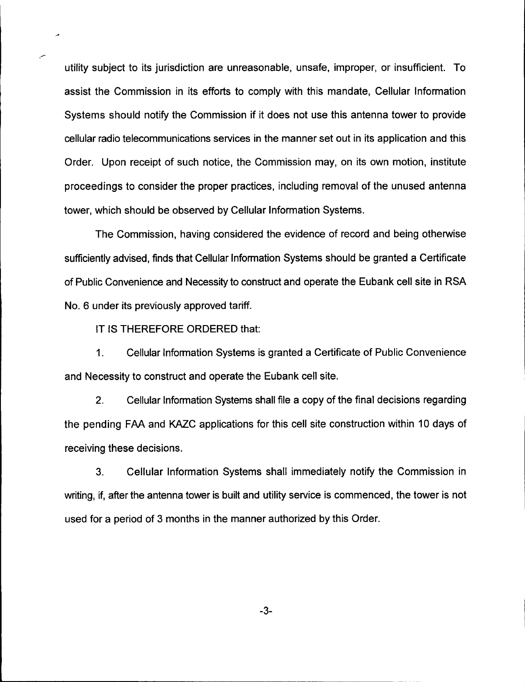utility subject to its jurisdiction are unreasonable, unsafe, improper, or insufficient. To assist the Commission in its efforts to comply with this mandate, Cellular Information Systems should notify the Commission if it does not use this antenna tower to provide cellular radio telecommunications services in the manner set out in its application and this Order. Upon receipt of such notice, the Commission may, on its own motion, institute proceedings to consider the proper practices, including removal of the unused antenna tower, which should be observed by Cellular Information Systems.

The Commission, having considered the evidence of record and being otherwise sufficiently advised, finds that Cellular Information Systems should be granted a Certificate of Public Convenience and Necessity to construct and operate the Eubank cell site in RSA No. 6 under its previously approved tariff.

IT IS THEREFORE ORDERED that:

1. Cellular Information Systems is granted a Certificate of Public Convenience and Necessity to construct and operate the Eubank cell site.

2. Cellular Information Systems shall file a copy of the final decisions regarding the pending FAA and KAZC applications for this cell site construction within 10 days of receiving these decisions.

3. Cellular Information Systems shall immediately notify the Commission in writing, if, after the antenna tower is built and utility service is commenced, the tower is not used for a period of 3 months in the manner authorized by this Order.

-3-